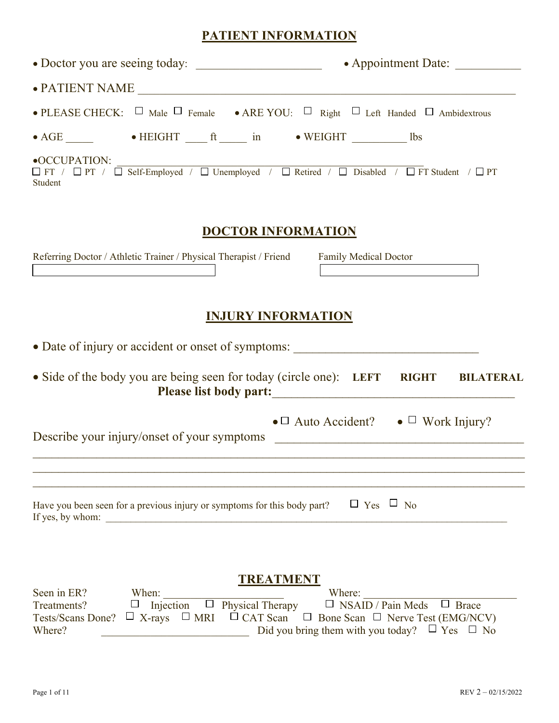# **PATIENT INFORMATION**

| $\bullet$ PATIENT NAME                                                                                                               |                                                                                                                                                                                                                       |
|--------------------------------------------------------------------------------------------------------------------------------------|-----------------------------------------------------------------------------------------------------------------------------------------------------------------------------------------------------------------------|
|                                                                                                                                      | • PLEASE CHECK: $\Box$ Male $\Box$ Female • ARE YOU: $\Box$ Right $\Box$ Left Handed $\Box$ Ambidextrous                                                                                                              |
| • AGE ______           • HEIGHT _____ ft _____ in         • WEIGHT _________ 1bs                                                     |                                                                                                                                                                                                                       |
| $\bullet$ OCCUPATION:<br>Student                                                                                                     | $\Box$ FT / $\Box$ PT / $\Box$ Self-Employed / $\Box$ Unemployed / $\Box$ Retired / $\Box$ Disabled / $\Box$ FT Student / $\Box$ PT                                                                                   |
|                                                                                                                                      | <b>DOCTOR INFORMATION</b>                                                                                                                                                                                             |
| Referring Doctor / Athletic Trainer / Physical Therapist / Friend Family Medical Doctor                                              |                                                                                                                                                                                                                       |
|                                                                                                                                      | <b>INJURY INFORMATION</b>                                                                                                                                                                                             |
| · Date of injury or accident or onset of symptoms:                                                                                   |                                                                                                                                                                                                                       |
|                                                                                                                                      | • Side of the body you are being seen for today (circle one): LEFT RIGHT BILATERAL<br>Please list body part:                                                                                                          |
| Describe your injury/onset of your symptoms                                                                                          | • $\Box$ Auto Accident? • $\Box$ Work Injury?<br><u> 2000 - Johann Johann Stoff, deutscher Stoffen und der Stoffen und der Stoffen und der Stoffen und der Stoffen</u>                                                |
| Have you been seen for a previous injury or symptoms for this body part?<br>If yes, by whom:<br><u> 1980 - Jan Barbara (j. 1980)</u> | $\Box$ Yes $\Box$ No                                                                                                                                                                                                  |
| Seen in ER?<br>When:<br>$\Box$ Injection<br>Treatments?<br>Tests/Scans Done? $\Box$ X-rays $\Box$ MRI<br>Where?                      | TREATMENT<br>Where:<br>$\Box$ Physical Therapy<br>$\Box$ NSAID / Pain Meds<br>$\Box$ Brace<br>$\Box$ CAT Scan $\Box$ Bone Scan $\Box$ Nerve Test (EMG/NCV)<br>Did you bring them with you today? $\Box$ Yes $\Box$ No |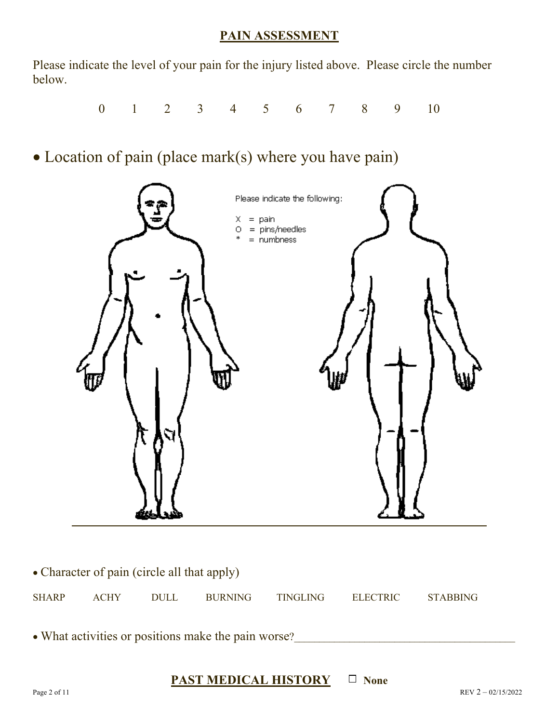## **PAIN ASSESSMENT**

Please indicate the level of your pain for the injury listed above. Please circle the number below.

0 1 2 3 4 5 6 7 8 9 10

• Location of pain (place mark(s) where you have pain)



| • Character of pain (circle all that apply)         |             |             |                |                 |          |                 |  |  |  |  |
|-----------------------------------------------------|-------------|-------------|----------------|-----------------|----------|-----------------|--|--|--|--|
| <b>SHARP</b>                                        | <b>ACHY</b> | <b>DULL</b> | <b>BURNING</b> | <b>TINGLING</b> | ELECTRIC | <b>STABBING</b> |  |  |  |  |
|                                                     |             |             |                |                 |          |                 |  |  |  |  |
| • What activities or positions make the pain worse? |             |             |                |                 |          |                 |  |  |  |  |

# **PAST MEDICAL HISTORY**  $\Box$  None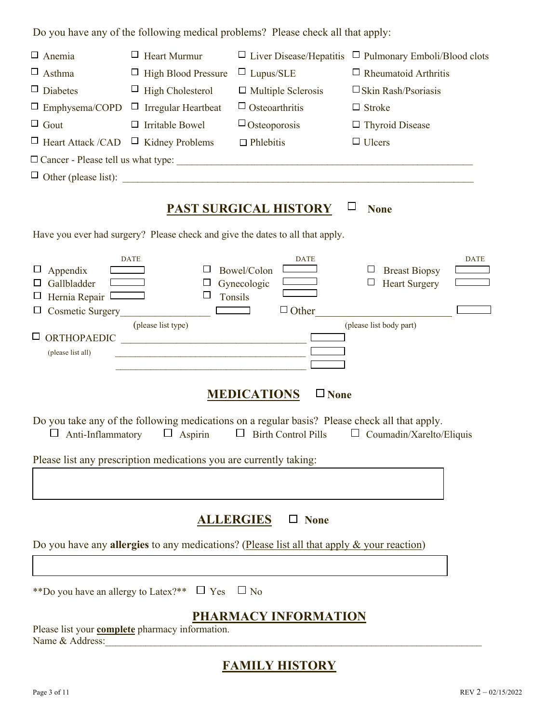Do you have any of the following medical problems? Please check all that apply:

| $\Box$ Anemia                                                                                       | $\Box$ Heart Murmur                                                                                                                                                                                                         | $\Box$ Liver Disease/Hepatitis                                                                                              | $\Box$ Pulmonary Emboli/Blood clots                                                    |
|-----------------------------------------------------------------------------------------------------|-----------------------------------------------------------------------------------------------------------------------------------------------------------------------------------------------------------------------------|-----------------------------------------------------------------------------------------------------------------------------|----------------------------------------------------------------------------------------|
| $\Box$ Asthma                                                                                       | $\Box$ High Blood Pressure                                                                                                                                                                                                  | $\Box$ Lupus/SLE                                                                                                            | $\Box$ Rheumatoid Arthritis                                                            |
| $\Box$ Diabetes                                                                                     | $\Box$ High Cholesterol                                                                                                                                                                                                     | $\Box$ Multiple Sclerosis                                                                                                   | $\square$ Skin Rash/Psoriasis                                                          |
| $\Box$ Emphysema/COPD                                                                               | $\Box$ Irregular Heartbeat                                                                                                                                                                                                  | $\Box$ Osteoarthritis                                                                                                       | $\Box$ Stroke                                                                          |
| $\Box$ Gout                                                                                         | $\Box$ Irritable Bowel                                                                                                                                                                                                      | $\Box$ Osteoporosis                                                                                                         | $\Box$ Thyroid Disease                                                                 |
| $\Box$ Heart Attack / CAD                                                                           | $\Box$ Kidney Problems                                                                                                                                                                                                      | $\Box$ Phlebitis                                                                                                            | $\Box$ Ulcers                                                                          |
|                                                                                                     |                                                                                                                                                                                                                             |                                                                                                                             |                                                                                        |
|                                                                                                     |                                                                                                                                                                                                                             | $\Box$ Other (please list): $\Box$                                                                                          |                                                                                        |
|                                                                                                     |                                                                                                                                                                                                                             | <b>PAST SURGICAL HISTORY</b>                                                                                                | <b>None</b>                                                                            |
|                                                                                                     |                                                                                                                                                                                                                             | Have you ever had surgery? Please check and give the dates to all that apply.                                               |                                                                                        |
| Appendix<br>Gallbladder<br>Hernia Repair <sup>[</sup><br>Cosmetic Surgery<br>Ш<br>(please list all) | <b>DATE</b><br>ப<br>ப<br>□<br>$\mathcal{L}^{\text{max}}_{\text{max}}$ and $\mathcal{L}^{\text{max}}_{\text{max}}$<br>(please list type)<br>ORTHOPAEDIC<br><u> 1980 - Johann John Stone, mars eta biztanleria (h. 1980).</u> | <b>DATE</b><br>Bowel/Colon<br>Gynecologic<br>Tonsils<br>$\Box$ Other                                                        | <b>DATE</b><br><b>Breast Biopsy</b><br><b>Heart Surgery</b><br>(please list body part) |
|                                                                                                     |                                                                                                                                                                                                                             | <b>MEDICATIONS</b><br>$\Box$ None                                                                                           |                                                                                        |
| Anti-Inflammatory<br>ப                                                                              | $\Box$ Aspirin                                                                                                                                                                                                              | Do you take any of the following medications on a regular basis? Please check all that apply.<br>$\Box$ Birth Control Pills | $\Box$ Coumadin/Xarelto/Eliquis                                                        |
|                                                                                                     | Please list any prescription medications you are currently taking:                                                                                                                                                          |                                                                                                                             |                                                                                        |
|                                                                                                     |                                                                                                                                                                                                                             |                                                                                                                             |                                                                                        |
|                                                                                                     |                                                                                                                                                                                                                             |                                                                                                                             |                                                                                        |
|                                                                                                     |                                                                                                                                                                                                                             | <b>ALLERGIES</b><br>$\Box$ None                                                                                             |                                                                                        |
|                                                                                                     |                                                                                                                                                                                                                             | Do you have any <b>allergies</b> to any medications? (Please list all that apply $\&$ your reaction)                        |                                                                                        |
|                                                                                                     |                                                                                                                                                                                                                             |                                                                                                                             |                                                                                        |
|                                                                                                     | **Do you have an allergy to Latex?** $\Box$ Yes $\Box$ No                                                                                                                                                                   |                                                                                                                             |                                                                                        |
|                                                                                                     |                                                                                                                                                                                                                             | PHARMACY INFORMATION                                                                                                        |                                                                                        |
| Name & Address:                                                                                     | Please list your <b>complete</b> pharmacy information.                                                                                                                                                                      |                                                                                                                             |                                                                                        |
|                                                                                                     |                                                                                                                                                                                                                             | <b>FAMILY HISTORY</b>                                                                                                       |                                                                                        |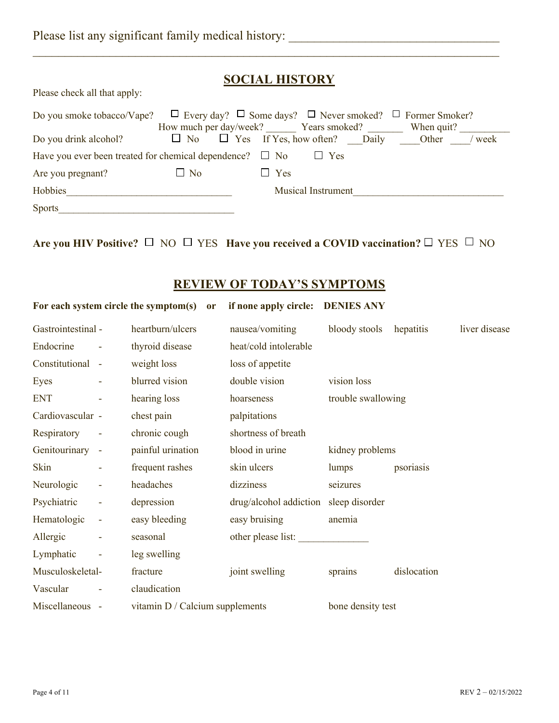# **SOCIAL HISTORY**

 $\mathcal{L}_\text{max} = \mathcal{L}_\text{max} = \mathcal{L}_\text{max} = \mathcal{L}_\text{max} = \mathcal{L}_\text{max} = \mathcal{L}_\text{max} = \mathcal{L}_\text{max} = \mathcal{L}_\text{max} = \mathcal{L}_\text{max} = \mathcal{L}_\text{max} = \mathcal{L}_\text{max} = \mathcal{L}_\text{max} = \mathcal{L}_\text{max} = \mathcal{L}_\text{max} = \mathcal{L}_\text{max} = \mathcal{L}_\text{max} = \mathcal{L}_\text{max} = \mathcal{L}_\text{max} = \mathcal{$ 

Please check all that apply:

| Do you smoke tobacco/Vape? $\Box$ Every day? $\Box$ Some days? $\Box$ Never smoked? $\Box$ Former Smoker? |                                               |                           |            |              |          |
|-----------------------------------------------------------------------------------------------------------|-----------------------------------------------|---------------------------|------------|--------------|----------|
|                                                                                                           | How much per day/week? Years smoked?          |                           |            | When quit?   |          |
| Do you drink alcohol?                                                                                     | $\Box$ No $\Box$ Yes If Yes, how often? Daily |                           |            | <b>Other</b> | $/$ week |
| Have you ever been treated for chemical dependence? $\Box$ No                                             |                                               |                           | $\Box$ Yes |              |          |
| Are you pregnant?                                                                                         | $\Box$ No                                     | $\Box$ Yes                |            |              |          |
| Hobbies                                                                                                   |                                               | <b>Musical Instrument</b> |            |              |          |
| <b>Sports</b>                                                                                             |                                               |                           |            |              |          |

**Are you HIV Positive?**  $\Box$  NO  $\Box$  YES **Have you received a COVID vaccination?**  $\Box$  YES  $\Box$  NO

### **REVIEW OF TODAY'S SYMPTOMS**

|                    |                          | For each system circle the symptom(s) | <b>or</b> | if none apply circle:                 | <b>DENIES ANY</b>  |             |               |
|--------------------|--------------------------|---------------------------------------|-----------|---------------------------------------|--------------------|-------------|---------------|
| Gastrointestinal - |                          | heartburn/ulcers                      |           | nausea/vomiting                       | bloody stools      | hepatitis   | liver disease |
| Endocrine          |                          | thyroid disease                       |           | heat/cold intolerable                 |                    |             |               |
| Constitutional -   |                          | weight loss                           |           | loss of appetite                      |                    |             |               |
| Eyes               |                          | blurred vision                        |           | double vision                         | vision loss        |             |               |
| <b>ENT</b>         |                          | hearing loss                          |           | hoarseness                            | trouble swallowing |             |               |
| Cardiovascular -   |                          | chest pain                            |           | palpitations                          |                    |             |               |
| Respiratory        | $\sim$ $-$               | chronic cough                         |           | shortness of breath                   |                    |             |               |
| Genitourinary -    |                          | painful urination                     |           | blood in urine                        | kidney problems    |             |               |
| Skin               | ۰                        | frequent rashes                       |           | skin ulcers                           | lumps              | psoriasis   |               |
| Neurologic         | $\overline{\phantom{a}}$ | headaches                             |           | dizziness                             | seizures           |             |               |
| Psychiatric        | $\blacksquare$           | depression                            |           | drug/alcohol addiction sleep disorder |                    |             |               |
| Hematologic        | $\sim$                   | easy bleeding                         |           | easy bruising                         | anemia             |             |               |
| Allergic           |                          | seasonal                              |           | other please list:                    |                    |             |               |
| Lymphatic          |                          | leg swelling                          |           |                                       |                    |             |               |
| Musculoskeletal-   |                          | fracture                              |           | joint swelling                        | sprains            | dislocation |               |
| Vascular           |                          | claudication                          |           |                                       |                    |             |               |
| Miscellaneous -    |                          | vitamin $D /$ Calcium supplements     |           |                                       | bone density test  |             |               |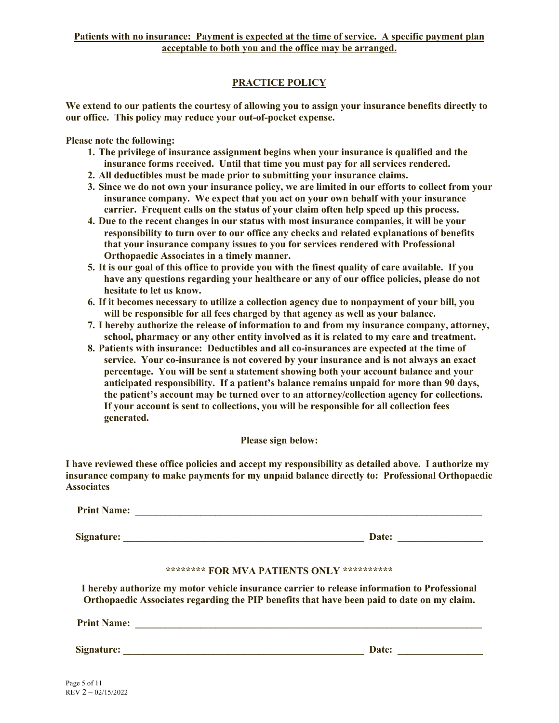### **PRACTICE POLICY**

**We extend to our patients the courtesy of allowing you to assign your insurance benefits directly to our office. This policy may reduce your out-of-pocket expense.**

**Please note the following:**

- **1. The privilege of insurance assignment begins when your insurance is qualified and the insurance forms received. Until that time you must pay for all services rendered.**
- **2. All deductibles must be made prior to submitting your insurance claims.**
- **3. Since we do not own your insurance policy, we are limited in our efforts to collect from your insurance company. We expect that you act on your own behalf with your insurance carrier. Frequent calls on the status of your claim often help speed up this process.**
- **4. Due to the recent changes in our status with most insurance companies, it will be your responsibility to turn over to our office any checks and related explanations of benefits that your insurance company issues to you for services rendered with Professional Orthopaedic Associates in a timely manner.**
- **5. It is our goal of this office to provide you with the finest quality of care available. If you have any questions regarding your healthcare or any of our office policies, please do not hesitate to let us know.**
- **6. If it becomes necessary to utilize a collection agency due to nonpayment of your bill, you will be responsible for all fees charged by that agency as well as your balance.**
- **7. I hereby authorize the release of information to and from my insurance company, attorney, school, pharmacy or any other entity involved as it is related to my care and treatment.**
- **8. Patients with insurance: Deductibles and all co-insurances are expected at the time of service. Your co-insurance is not covered by your insurance and is not always an exact percentage. You will be sent a statement showing both your account balance and your anticipated responsibility. If a patient's balance remains unpaid for more than 90 days, the patient's account may be turned over to an attorney/collection agency for collections. If your account is sent to collections, you will be responsible for all collection fees generated.**

**Please sign below:**

**I have reviewed these office policies and accept my responsibility as detailed above. I authorize my insurance company to make payments for my unpaid balance directly to: Professional Orthopaedic Associates**

| <b>Print Name:</b> |  |                                            |  |  |  |  |  |       |  |  |  |
|--------------------|--|--------------------------------------------|--|--|--|--|--|-------|--|--|--|
| <b>Signature:</b>  |  |                                            |  |  |  |  |  | Date: |  |  |  |
|                    |  | ******** FOR MVA PATIENTS ONLY *********** |  |  |  |  |  |       |  |  |  |

**I hereby authorize my motor vehicle insurance carrier to release information to Professional Orthopaedic Associates regarding the PIP benefits that have been paid to date on my claim.**

| <b>Print Name:</b> |  |
|--------------------|--|
|--------------------|--|

**Signature: \_\_\_\_\_\_\_\_\_\_\_\_\_\_\_\_\_\_\_\_\_\_\_\_\_\_\_\_\_\_\_\_\_\_\_\_\_\_\_\_\_\_\_\_\_\_\_\_ Date: \_\_\_\_\_\_\_\_\_\_\_\_\_\_\_\_\_**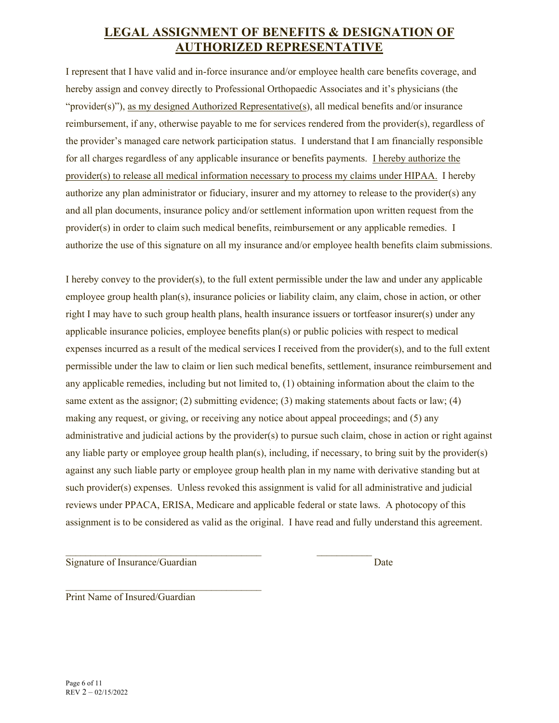# **LEGAL ASSIGNMENT OF BENEFITS & DESIGNATION OF AUTHORIZED REPRESENTATIVE**

I represent that I have valid and in-force insurance and/or employee health care benefits coverage, and hereby assign and convey directly to Professional Orthopaedic Associates and it's physicians (the "provider(s)"), as my designed Authorized Representative(s), all medical benefits and/or insurance reimbursement, if any, otherwise payable to me for services rendered from the provider(s), regardless of the provider's managed care network participation status. I understand that I am financially responsible for all charges regardless of any applicable insurance or benefits payments. I hereby authorize the provider(s) to release all medical information necessary to process my claims under HIPAA. I hereby authorize any plan administrator or fiduciary, insurer and my attorney to release to the provider(s) any and all plan documents, insurance policy and/or settlement information upon written request from the provider(s) in order to claim such medical benefits, reimbursement or any applicable remedies. I authorize the use of this signature on all my insurance and/or employee health benefits claim submissions.

I hereby convey to the provider(s), to the full extent permissible under the law and under any applicable employee group health plan(s), insurance policies or liability claim, any claim, chose in action, or other right I may have to such group health plans, health insurance issuers or tortfeasor insurer(s) under any applicable insurance policies, employee benefits plan(s) or public policies with respect to medical expenses incurred as a result of the medical services I received from the provider(s), and to the full extent permissible under the law to claim or lien such medical benefits, settlement, insurance reimbursement and any applicable remedies, including but not limited to, (1) obtaining information about the claim to the same extent as the assignor; (2) submitting evidence; (3) making statements about facts or law; (4) making any request, or giving, or receiving any notice about appeal proceedings; and (5) any administrative and judicial actions by the provider(s) to pursue such claim, chose in action or right against any liable party or employee group health plan(s), including, if necessary, to bring suit by the provider(s) against any such liable party or employee group health plan in my name with derivative standing but at such provider(s) expenses. Unless revoked this assignment is valid for all administrative and judicial reviews under PPACA, ERISA, Medicare and applicable federal or state laws. A photocopy of this assignment is to be considered as valid as the original. I have read and fully understand this agreement.

Signature of Insurance/Guardian Date

 $\mathcal{L}_\text{max}$  and the contract of the contract of the contract of the contract of the contract of the contract of the contract of the contract of the contract of the contract of the contract of the contract of the contrac

 $\mathcal{L}_\text{max}$  , and the set of the set of the set of the set of the set of the set of the set of the set of the set of the set of the set of the set of the set of the set of the set of the set of the set of the set of the Print Name of Insured/Guardian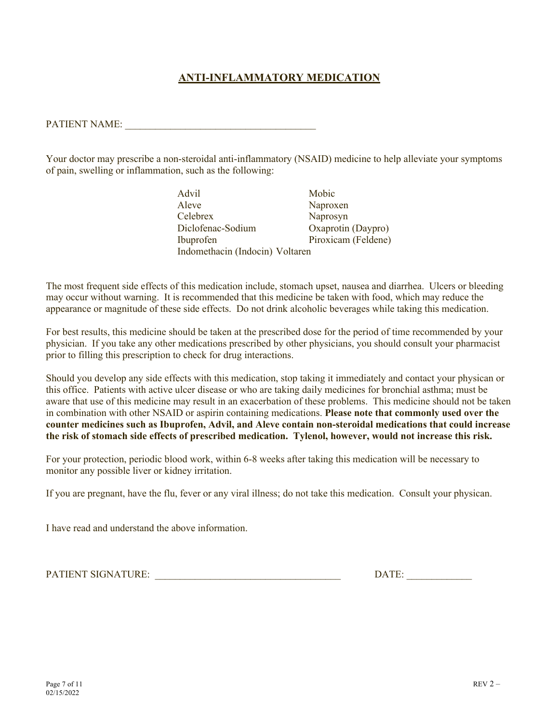### **ANTI-INFLAMMATORY MEDICATION**

PATIENT NAME:

Your doctor may prescribe a non-steroidal anti-inflammatory (NSAID) medicine to help alleviate your symptoms of pain, swelling or inflammation, such as the following:

> Advil Mobic Aleve Naproxen<br>Celebrex Naprosvn Naprosyn Diclofenac-Sodium Oxaprotin (Daypro) Ibuprofen Piroxicam (Feldene) Indomethacin (Indocin) Voltaren

The most frequent side effects of this medication include, stomach upset, nausea and diarrhea. Ulcers or bleeding may occur without warning. It is recommended that this medicine be taken with food, which may reduce the appearance or magnitude of these side effects. Do not drink alcoholic beverages while taking this medication.

For best results, this medicine should be taken at the prescribed dose for the period of time recommended by your physician. If you take any other medications prescribed by other physicians, you should consult your pharmacist prior to filling this prescription to check for drug interactions.

Should you develop any side effects with this medication, stop taking it immediately and contact your physican or this office. Patients with active ulcer disease or who are taking daily medicines for bronchial asthma; must be aware that use of this medicine may result in an exacerbation of these problems. This medicine should not be taken in combination with other NSAID or aspirin containing medications. **Please note that commonly used over the counter medicines such as Ibuprofen, Advil, and Aleve contain non-steroidal medications that could increase the risk of stomach side effects of prescribed medication. Tylenol, however, would not increase this risk.**

For your protection, periodic blood work, within 6-8 weeks after taking this medication will be necessary to monitor any possible liver or kidney irritation.

If you are pregnant, have the flu, fever or any viral illness; do not take this medication. Consult your physican.

I have read and understand the above information.

PATIENT SIGNATURE: \_\_\_\_\_\_\_\_\_\_\_\_\_\_\_\_\_\_\_\_\_\_\_\_\_\_\_\_\_\_\_\_\_\_\_\_\_ DATE: \_\_\_\_\_\_\_\_\_\_\_\_\_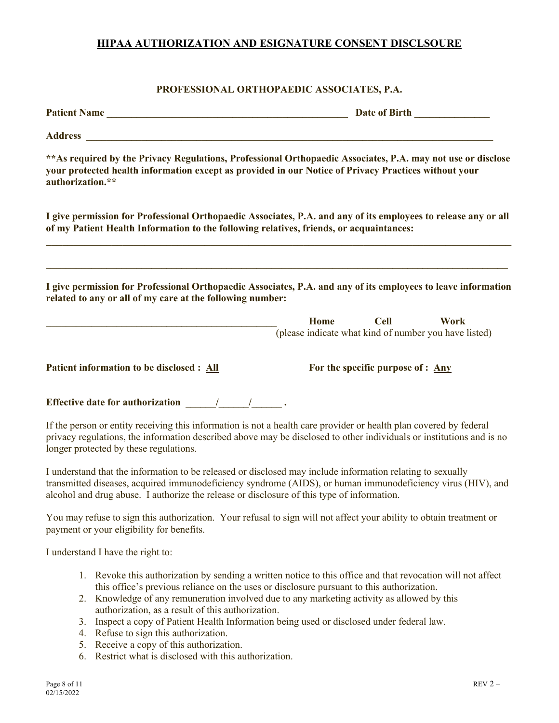### **HIPAA AUTHORIZATION AND ESIGNATURE CONSENT DISCLSOURE**

### **PROFESSIONAL ORTHOPAEDIC ASSOCIATES, P.A.**

| Patient Name                                                                            | Date of Birth <b>Exercise 2</b>                                                                                                                                                                                                            |
|-----------------------------------------------------------------------------------------|--------------------------------------------------------------------------------------------------------------------------------------------------------------------------------------------------------------------------------------------|
|                                                                                         |                                                                                                                                                                                                                                            |
| authorization.**                                                                        | ** As required by the Privacy Regulations, Professional Orthopaedic Associates, P.A. may not use or disclose<br>your protected health information except as provided in our Notice of Privacy Practices without your                       |
| of my Patient Health Information to the following relatives, friends, or acquaintances: | I give permission for Professional Orthopaedic Associates, P.A. and any of its employees to release any or all                                                                                                                             |
| related to any or all of my care at the following number:                               | I give permission for Professional Orthopaedic Associates, P.A. and any of its employees to leave information<br><b>Cell</b><br><b>Work</b><br>Home                                                                                        |
|                                                                                         | (please indicate what kind of number you have listed)                                                                                                                                                                                      |
| Patient information to be disclosed : All                                               | For the specific purpose of : Any                                                                                                                                                                                                          |
|                                                                                         |                                                                                                                                                                                                                                            |
| longer protected by these regulations.                                                  | If the person or entity receiving this information is not a health care provider or health plan covered by federal<br>privacy regulations, the information described above may be disclosed to other individuals or institutions and is no |

I understand that the information to be released or disclosed may include information relating to sexually transmitted diseases, acquired immunodeficiency syndrome (AIDS), or human immunodeficiency virus (HIV), and alcohol and drug abuse. I authorize the release or disclosure of this type of information.

You may refuse to sign this authorization. Your refusal to sign will not affect your ability to obtain treatment or payment or your eligibility for benefits.

I understand I have the right to:

- 1. Revoke this authorization by sending a written notice to this office and that revocation will not affect this office's previous reliance on the uses or disclosure pursuant to this authorization.
- 2. Knowledge of any remuneration involved due to any marketing activity as allowed by this authorization, as a result of this authorization.
- 3. Inspect a copy of Patient Health Information being used or disclosed under federal law.
- 4. Refuse to sign this authorization.
- 5. Receive a copy of this authorization.
- 6. Restrict what is disclosed with this authorization.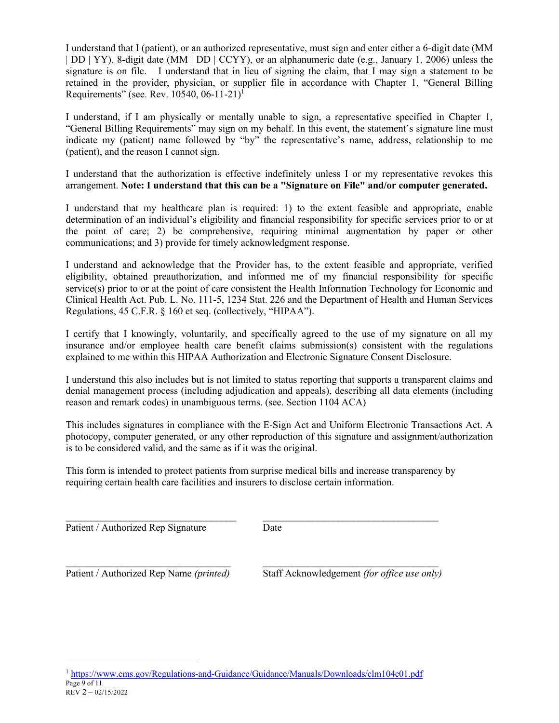I understand that I (patient), or an authorized representative, must sign and enter either a 6-digit date (MM | DD | YY), 8-digit date (MM | DD | CCYY), or an alphanumeric date (e.g., January 1, 2006) unless the signature is on file. I understand that in lieu of signing the claim, that I may sign a statement to be retained in the provider, physician, or supplier file in accordance with Chapter 1, "General Billing Requirements" (see. Rev. 10540, 06-11-21)<sup>1</sup>

I understand, if I am physically or mentally unable to sign, a representative specified in Chapter 1, "General Billing Requirements" may sign on my behalf. In this event, the statement's signature line must indicate my (patient) name followed by "by" the representative's name, address, relationship to me (patient), and the reason I cannot sign.

I understand that the authorization is effective indefinitely unless I or my representative revokes this arrangement. **Note: I understand that this can be a "Signature on File" and/or computer generated.**

I understand that my healthcare plan is required: 1) to the extent feasible and appropriate, enable determination of an individual's eligibility and financial responsibility for specific services prior to or at the point of care; 2) be comprehensive, requiring minimal augmentation by paper or other communications; and 3) provide for timely acknowledgment response.

I understand and acknowledge that the Provider has, to the extent feasible and appropriate, verified eligibility, obtained preauthorization, and informed me of my financial responsibility for specific service(s) prior to or at the point of care consistent the Health Information Technology for Economic and Clinical Health Act. Pub. L. No. 111-5, 1234 Stat. 226 and the Department of Health and Human Services Regulations, 45 C.F.R. § 160 et seq. (collectively, "HIPAA").

I certify that I knowingly, voluntarily, and specifically agreed to the use of my signature on all my insurance and/or employee health care benefit claims submission(s) consistent with the regulations explained to me within this HIPAA Authorization and Electronic Signature Consent Disclosure.

I understand this also includes but is not limited to status reporting that supports a transparent claims and denial management process (including adjudication and appeals), describing all data elements (including reason and remark codes) in unambiguous terms. (see. Section 1104 ACA)

This includes signatures in compliance with the E-Sign Act and Uniform Electronic Transactions Act. A photocopy, computer generated, or any other reproduction of this signature and assignment/authorization is to be considered valid, and the same as if it was the original.

This form is intended to protect patients from surprise medical bills and increase transparency by requiring certain health care facilities and insurers to disclose certain information.

 $\_$  , and the set of the set of the set of the set of the set of the set of the set of the set of the set of the set of the set of the set of the set of the set of the set of the set of the set of the set of the set of th

Patient / Authorized Rep Signature Date

 $\mathcal{L}_\text{max} = \mathcal{L}_\text{max} = \mathcal{L}_\text{max} = \mathcal{L}_\text{max} = \mathcal{L}_\text{max} = \mathcal{L}_\text{max} = \mathcal{L}_\text{max} = \mathcal{L}_\text{max} = \mathcal{L}_\text{max} = \mathcal{L}_\text{max} = \mathcal{L}_\text{max} = \mathcal{L}_\text{max} = \mathcal{L}_\text{max} = \mathcal{L}_\text{max} = \mathcal{L}_\text{max} = \mathcal{L}_\text{max} = \mathcal{L}_\text{max} = \mathcal{L}_\text{max} = \mathcal{$ Patient / Authorized Rep Name *(printed)* Staff Acknowledgement *(for office use only)* 

Page 9 of 11<br>Page 9 of 11<br>REV 2 – 02/15/2022 <sup>1</sup> https://www.cms.gov/Regulations-and-Guidance/Guidance/Manuals/Downloads/clm104c01.pdf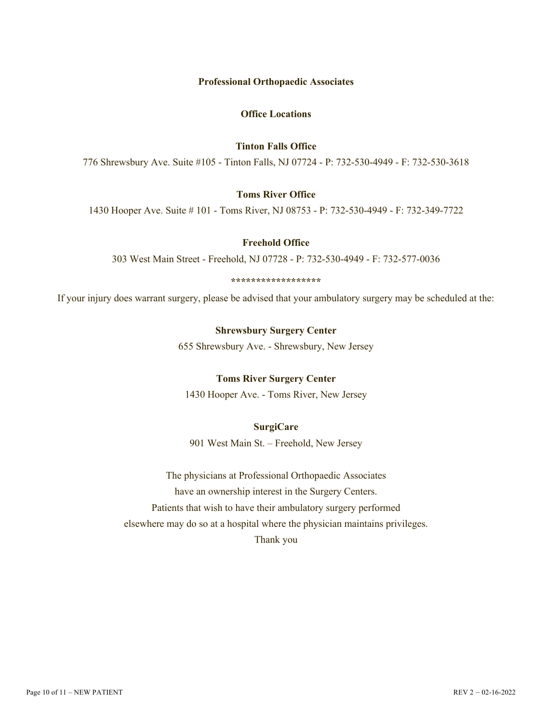#### **Professional Orthopaedic Associates**

#### **Office Locations**

### **Tinton Falls Office**

776 Shrewsbury Ave. Suite #105 - Tinton Falls, NJ 07724 - P: 732-530-4949 - F: 732-530-3618

#### **Toms River Office**

1430 Hooper Ave. Suite # 101 - Toms River, NJ 08753 - P: 732-530-4949 - F: 732-349-7722

### **Freehold Office**

303 West Main Street - Freehold, NJ 07728 - P: 732-530-4949 - F: 732-577-0036

#### **\*\*\*\*\*\*\*\*\*\*\*\*\*\*\*\*\*\***

If your injury does warrant surgery, please be advised that your ambulatory surgery may be scheduled at the:

#### **Shrewsbury Surgery Center**

655 Shrewsbury Ave. - Shrewsbury, New Jersey

#### **Toms River Surgery Center**

1430 Hooper Ave. - Toms River, New Jersey

### **SurgiCare**

901 West Main St. – Freehold, New Jersey

The physicians at Professional Orthopaedic Associates have an ownership interest in the Surgery Centers. Patients that wish to have their ambulatory surgery performed elsewhere may do so at a hospital where the physician maintains privileges. Thank you